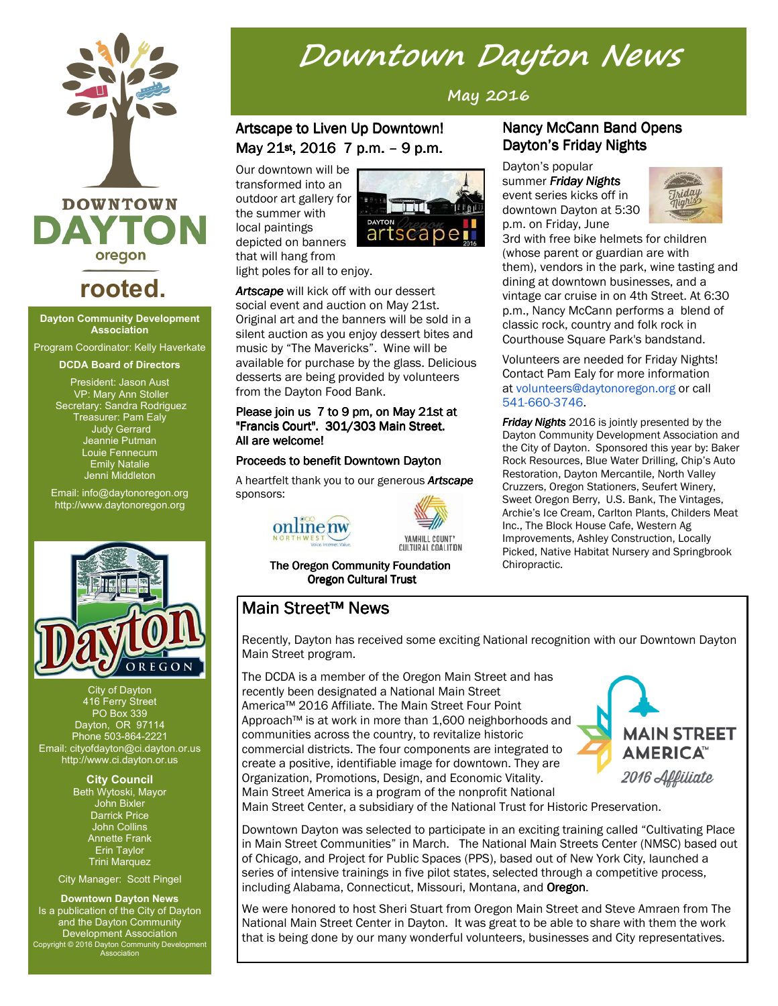

# **rooted.**

#### **Dayton Community Development Association**

Program Coordinator: Kelly Haverkate

**DCDA Board of Directors**

President: Jason Aust VP: Mary Ann Stoller Secretary: Sandra Rodriguez Treasurer: Pam Ealy Judy Gerrard Jeannie Putman Louie Fennecum Emily Natalie Jenni Middleton

Email: info@daytonoregon.org http://www.daytonoregon.org



City of Dayton 416 Ferry Street PO Box 339 Dayton, OR 97114 Phone 503-864-2221 Email: cityofdayton@ci.dayton.or.us http://www.ci.dayton.or.us

> **City Council** Beth Wytoski, Mayor John Bixler Darrick Price John Collins Annette Frank Erin Taylor Trini Marquez

City Manager: Scott Pingel

**Downtown Dayton News** Is a publication of the City of Dayton and the Dayton Community Development Association Copyright © 2016 Dayton Community Development Association

# **Downtown Dayton News**

**May 2016**

### Artscape to Liven Up Downtown! May 21st, 2016 7 p.m. – 9 p.m.

Our downtown will be transformed into an outdoor art gallery for the summer with local paintings depicted on banners that will hang from



light poles for all to enjoy.

*Artscape* will kick off with our dessert social event and auction on May 21st. Original art and the banners will be sold in a silent auction as you enjoy dessert bites and music by "The Mavericks". Wine will be available for purchase by the glass. Delicious desserts are being provided by volunteers from the Dayton Food Bank.

#### Please join us 7 to 9 pm, on May 21st at "Francis Court". 301/303 Main Street. All are welcome!

#### Proceeds to benefit Downtown Dayton

A heartfelt thank you to our generous **Artscape** sponsors:





The Oregon Community Foundation Oregon Cultural Trust

#### Nancy McCann Band Opens Dayton's Friday Nights

Dayton's popular

summer *Friday Nights* event series kicks off in downtown Dayton at 5:30 p.m. on Friday, June



3rd with free bike helmets for children (whose parent or guardian are with them), vendors in the park, wine tasting and dining at downtown businesses, and a vintage car cruise in on 4th Street. At 6:30 p.m., Nancy McCann performs a blend of classic rock, country and folk rock in Courthouse Square Park's bandstand.

Volunteers are needed for Friday Nights! Contact Pam Ealy for more information at volunteers@daytonoregon.org or call 541-660-3746.

*Friday Nights* 2016 is jointly presented by the Dayton Community Development Association and the City of Dayton. Sponsored this year by: Baker Rock Resources, Blue Water Drilling, Chip's Auto Restoration, Dayton Mercantile, North Valley Cruzzers, Oregon Stationers, Seufert Winery, Sweet Oregon Berry, U.S. Bank, The Vintages, Archie's Ice Cream, Carlton Plants, Childers Meat Inc., The Block House Cafe, Western Ag Improvements, Ashley Construction, Locally Picked, Native Habitat Nursery and Springbrook Chiropractic.

## Main Street™ News

Recently, Dayton has received some exciting National recognition with our Downtown Dayton Main Street program.

The DCDA is a member of the Oregon Main Street and has recently been designated a National Main Street America™ 2016 Affiliate. The Main Street Four Point Approach™ is at work in more than 1,600 neighborhoods and communities across the country, to revitalize historic commercial districts. The four components are integrated to create a positive, identifiable image for downtown. They are Organization, Promotions, Design, and Economic Vitality. Main Street America is a program of the nonprofit National



Main Street Center, a subsidiary of the National Trust for Historic Preservation.

Downtown Dayton was selected to participate in an exciting training called "Cultivating Place in Main Street Communities" in March. The National Main Streets Center (NMSC) based out of Chicago, and Project for Public Spaces (PPS), based out of New York City, launched a series of intensive trainings in five pilot states, selected through a competitive process, including Alabama, Connecticut, Missouri, Montana, and Oregon.

We were honored to host Sheri Stuart from Oregon Main Street and Steve Amraen from The National Main Street Center in Dayton. It was great to be able to share with them the work that is being done by our many wonderful volunteers, businesses and City representatives.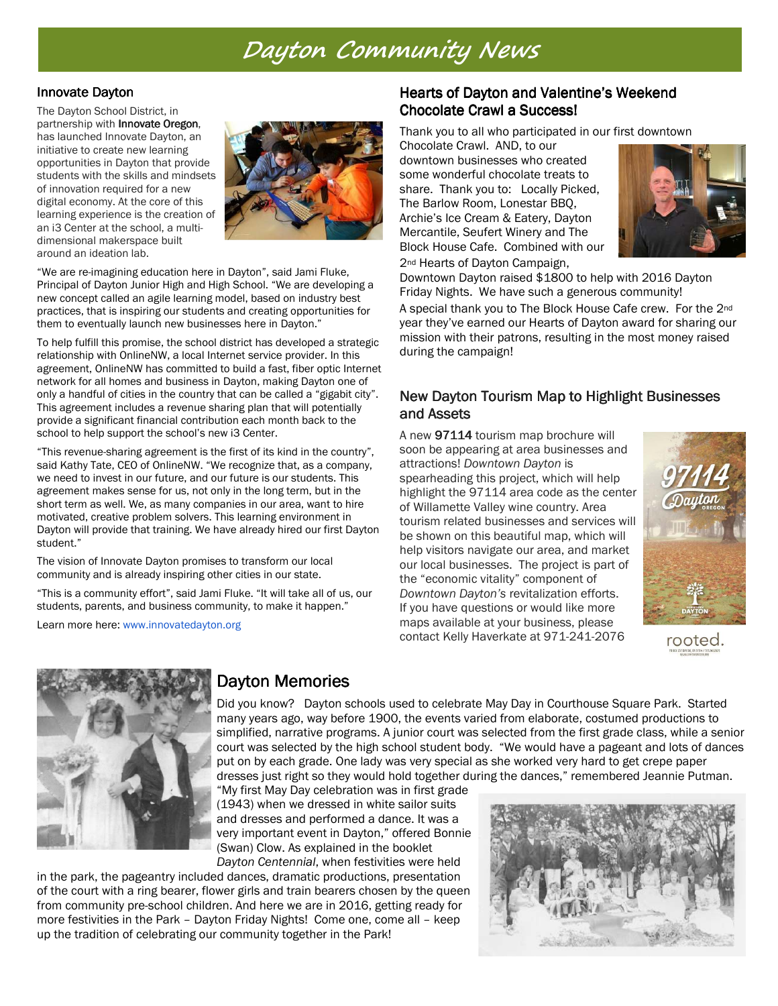# **Dayton Community News**

#### **Innovate Dayton**

The Dayton School District, in partnership with Innovate Oregon, has launched Innovate Dayton, an initiative to create new learning opportunities in Dayton that provide students with the skills and mindsets of innovation required for a new digital economy. At the core of this learning experience is the creation of an i3 Center at the school, a multidimensional makerspace built around an ideation lab.



"We are re-imagining education here in Dayton", said Jami Fluke, Principal of Dayton Junior High and High School. "We are developing a new concept called an agile learning model, based on industry best practices, that is inspiring our students and creating opportunities for them to eventually launch new businesses here in Dayton."

To help fulfill this promise, the school district has developed a strategic relationship with OnlineNW, a local Internet service provider. In this agreement, OnlineNW has committed to build a fast, fiber optic Internet network for all homes and business in Dayton, making Dayton one of only a handful of cities in the country that can be called a "gigabit city". This agreement includes a revenue sharing plan that will potentially provide a significant financial contribution each month back to the school to help support the school's new i3 Center.

"This revenue-sharing agreement is the first of its kind in the country", said Kathy Tate, CEO of OnlineNW. "We recognize that, as a company, we need to invest in our future, and our future is our students. This agreement makes sense for us, not only in the long term, but in the short term as well. We, as many companies in our area, want to hire motivated, creative problem solvers. This learning environment in Dayton will provide that training. We have already hired our first Dayton student."

The vision of Innovate Dayton promises to transform our local community and is already inspiring other cities in our state.

"This is a community effort", said Jami Fluke. "It will take all of us, our students, parents, and business community, to make it happen."

Learn more here: www.innovatedayton.org

#### Hearts of Dayton and Valentine's Weekend Chocolate Crawl a Success!

Thank you to all who participated in our first downtown

Chocolate Crawl. AND, to our downtown businesses who created some wonderful chocolate treats to share. Thank you to: Locally Picked, The Barlow Room, Lonestar BBQ, Archie's Ice Cream & Eatery, Dayton Mercantile, Seufert Winery and The Block House Cafe. Combined with our 2nd Hearts of Dayton Campaign,



Downtown Dayton raised \$1800 to help with 2016 Dayton Friday Nights. We have such a generous community!

A special thank you to The Block House Cafe crew. For the 2nd year they've earned our Hearts of Dayton award for sharing our mission with their patrons, resulting in the most money raised during the campaign!

#### New Dayton Tourism Map to Highlight Businesses and Assets

A new 97114 tourism map brochure will soon be appearing at area businesses and attractions! *Downtown Dayton* is spearheading this project, which will help highlight the 97114 area code as the center of Willamette Valley wine country. Area tourism related businesses and services will be shown on this beautiful map, which will help visitors navigate our area, and market our local businesses. The project is part of the "economic vitality" component of *Downtown Dayton's* revitalization efforts. If you have questions or would like more maps available at your business, please contact Kelly Haverkate at 971-241-2076



rooted.



## Dayton Memories

Did you know? Dayton schools used to celebrate May Day in Courthouse Square Park. Started many years ago, way before 1900, the events varied from elaborate, costumed productions to simplified, narrative programs. A junior court was selected from the first grade class, while a senior court was selected by the high school student body. "We would have a pageant and lots of dances put on by each grade. One lady was very special as she worked very hard to get crepe paper dresses just right so they would hold together during the dances," remembered Jeannie Putman.

"My first May Day celebration was in first grade (1943) when we dressed in white sailor suits and dresses and performed a dance. It was a very important event in Dayton," offered Bonnie (Swan) Clow. As explained in the booklet *Dayton Centennial*, when festivities were held

in the park, the pageantry included dances, dramatic productions, presentation of the court with a ring bearer, flower girls and train bearers chosen by the queen from community pre-school children. And here we are in 2016, getting ready for more festivities in the Park – Dayton Friday Nights! Come one, come all – keep up the tradition of celebrating our community together in the Park!

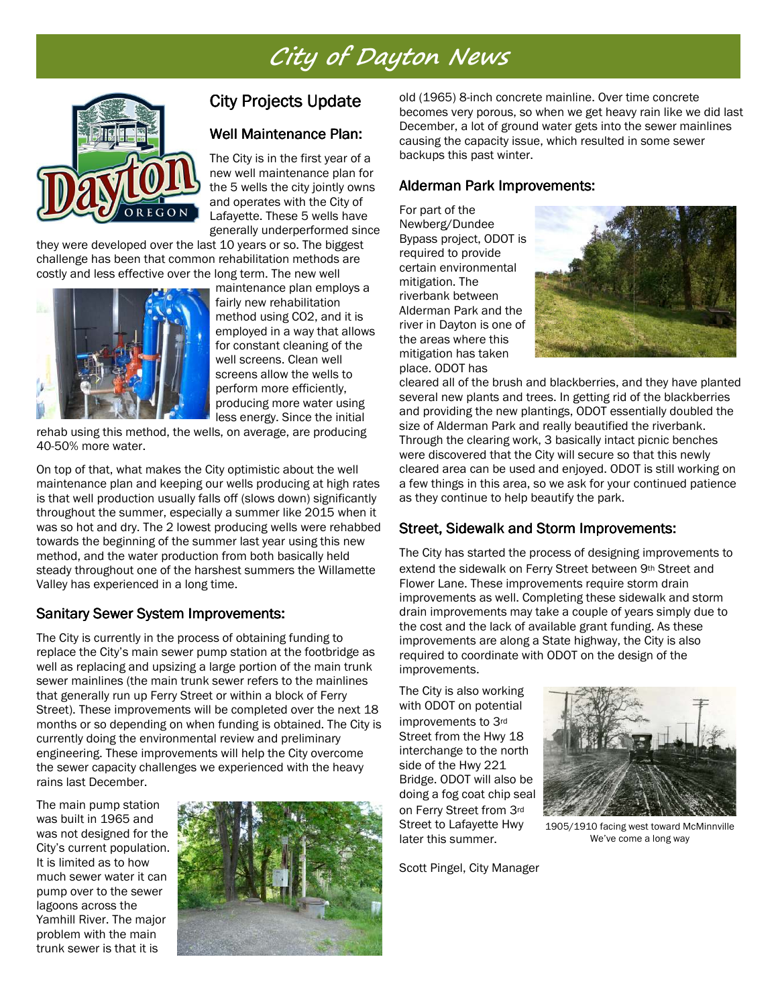# **City of Dayton News**



### City Projects Update

#### Well Maintenance Plan:

The City is in the first year of a new well maintenance plan for the 5 wells the city jointly owns and operates with the City of Lafayette. These 5 wells have generally underperformed since

they were developed over the last 10 years or so. The biggest challenge has been that common rehabilitation methods are costly and less effective over the long term. The new well



maintenance plan employs a fairly new rehabilitation method using CO2, and it is employed in a way that allows for constant cleaning of the well screens. Clean well screens allow the wells to perform more efficiently, producing more water using less energy. Since the initial

rehab using this method, the wells, on average, are producing 40-50% more water.

On top of that, what makes the City optimistic about the well maintenance plan and keeping our wells producing at high rates is that well production usually falls off (slows down) significantly throughout the summer, especially a summer like 2015 when it was so hot and dry. The 2 lowest producing wells were rehabbed towards the beginning of the summer last year using this new method, and the water production from both basically held steady throughout one of the harshest summers the Willamette Valley has experienced in a long time.

#### Sanitary Sewer System Improvements:

The City is currently in the process of obtaining funding to replace the City's main sewer pump station at the footbridge as well as replacing and upsizing a large portion of the main trunk sewer mainlines (the main trunk sewer refers to the mainlines that generally run up Ferry Street or within a block of Ferry Street). These improvements will be completed over the next 18 months or so depending on when funding is obtained. The City is currently doing the environmental review and preliminary engineering. These improvements will help the City overcome the sewer capacity challenges we experienced with the heavy rains last December.

The main pump station was built in 1965 and was not designed for the City's current population. It is limited as to how much sewer water it can pump over to the sewer lagoons across the Yamhill River. The major problem with the main trunk sewer is that it is



old (1965) 8-inch concrete mainline. Over time concrete becomes very porous, so when we get heavy rain like we did last December, a lot of ground water gets into the sewer mainlines causing the capacity issue, which resulted in some sewer backups this past winter.

#### Alderman Park Improvements:

For part of the Newberg/Dundee Bypass project, ODOT is required to provide certain environmental mitigation. The riverbank between Alderman Park and the river in Dayton is one of the areas where this mitigation has taken place. ODOT has



cleared all of the brush and blackberries, and they have planted several new plants and trees. In getting rid of the blackberries and providing the new plantings, ODOT essentially doubled the size of Alderman Park and really beautified the riverbank. Through the clearing work, 3 basically intact picnic benches were discovered that the City will secure so that this newly cleared area can be used and enjoyed. ODOT is still working on a few things in this area, so we ask for your continued patience as they continue to help beautify the park.

#### Street, Sidewalk and Storm Improvements:

The City has started the process of designing improvements to extend the sidewalk on Ferry Street between 9th Street and Flower Lane. These improvements require storm drain improvements as well. Completing these sidewalk and storm drain improvements may take a couple of years simply due to the cost and the lack of available grant funding. As these improvements are along a State highway, the City is also required to coordinate with ODOT on the design of the improvements.

The City is also working with ODOT on potential improvements to 3rd Street from the Hwy 18 interchange to the north side of the Hwy 221 Bridge. ODOT will also be doing a fog coat chip seal on Ferry Street from 3rd Street to Lafayette Hwy later this summer.

Scott Pingel, City Manager



1905/1910 facing west toward McMinnville We've come a long way